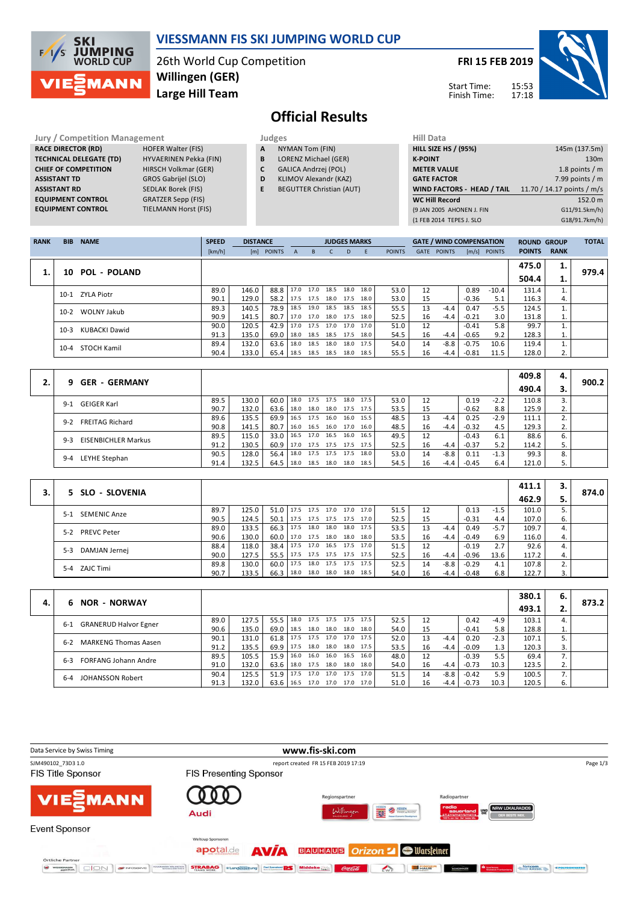

## **VIESSMANN FIS SKI JUMPING WORLD CUP**

26th World Cup Competition **Large Hill Team Willingen (GER)**

**TIELMANN Horst (FIS)** 

**FRI 15 FEB 2019**

Start Time: Finish Time:



# **Official Results**

**Jury / Competition Management Judges Hill Data**<br> **RACE DIRECTOR (RD)** HOFER Walter (FIS) **A** NYMAN Tom (FIN) **HILL SIZE H RACE DIRECTOR (RD) TECHNICAL DELEGATE (TD)** HYVAERINEN Pekka (FIN) **CHIEF OF COMPETITION** HIRSCH Volkmar (GER) **ASSISTANT TD** GROS Gabrijel (SLO) **ASSISTANT RD** SEDLAK Borek (FIS)<br>**EQUIPMENT CONTROL** GRATZER Sepp (FIS) **EQUIPMENT CONTROL**<br>**EQUIPMENT CONTROL** 

- **A** NYMAN Tom (FIN)
- **B** LORENZ Michael (GER)
- **C** GALICA Andrzej (POL)
- **D** KLIMOV Alexandr (KAZ)
- **E** BEGUTTER Christian (AUT)

| 11111 <i>Data</i>           |                            |
|-----------------------------|----------------------------|
| <b>HILL SIZE HS / (95%)</b> | 145m (137.5m)              |
| <b>K-POINT</b>              | 130 <sub>m</sub>           |
| <b>METER VALUE</b>          | 1.8 points $/m$            |
| <b>GATE FACTOR</b>          | 7.99 points $/m$           |
| WIND FACTORS - HEAD / TAIL  | 11.70 / 14.17 points / m/s |
|                             |                            |
| <b>WC Hill Record</b>       | 152.0 m                    |
| (9 JAN 2005 AHONEN J. FIN   | G11/91.5km/h)              |
| (1 FEB 2014 TEPES J. SLO    | G18/91.7km/h)              |

| <b>RANK</b> | <b>BIB</b> | <b>NAME</b>     | <b>SPEED</b> | <b>DISTANCE</b> |            |              |           | <b>JUDGES MARKS</b> |      |      |               |             | <b>GATE / WIND COMPENSATION</b> |         |                | <b>ROUND GROUP</b> |             | <b>TOTAL</b> |
|-------------|------------|-----------------|--------------|-----------------|------------|--------------|-----------|---------------------|------|------|---------------|-------------|---------------------------------|---------|----------------|--------------------|-------------|--------------|
|             |            |                 | [km/h]       |                 | [m] POINTS | $\mathsf{A}$ | B         |                     | D    | E    | <b>POINTS</b> | <b>GATE</b> | <b>POINTS</b>                   |         | $[m/s]$ POINTS | <b>POINTS</b>      | <b>RANK</b> |              |
|             |            |                 |              |                 |            |              |           |                     |      |      |               |             |                                 |         |                | 475.0              | 1.          | 979.4        |
|             |            | 10 POL - POLAND |              |                 |            |              |           |                     |      |      |               |             |                                 |         |                | 504.4              | ı.          |              |
|             | $10-1$     | ZYLA Piotr      | 89.0         | 146.0           | 88.8       | 17.0         | 17.0 18.5 |                     | 18.0 | 18.0 | 53.0          | 12          |                                 | 0.89    | $-10.4$        | 131.4              |             |              |
|             |            |                 | 90.1         | 129.0           | 58.2       | 17.5         | 17.5 18.0 |                     | 17.5 | 18.0 | 53.0          | 15          |                                 | $-0.36$ | 5.1            | 116.3              | 4.          |              |
|             | $10-2$     | WOLNY Jakub     | 89.3         | 140.5           | 78.9       | 18.5         |           | 19.0 18.5 18.5      |      | 18.5 | 55.5          | 13          | $-4.4$                          | 0.47    | $-5.5$         | 124.5              |             |              |
|             |            |                 | 90.9         | 141.5           | 80.7       | 17.0         |           | 17.0 18.0 17.5      |      | 18.0 | 52.5          | 16          | $-4.4$                          | $-0.21$ | 3.0            | 131.8              | 1.          |              |
|             | $10-3$     | KUBACKI Dawid   | 90.0         | 120.5           | 42.9       | 17.0         | 17.5 17.0 |                     | 17.0 | 17.0 | 51.0          | 12          |                                 | $-0.41$ | 5.8            | 99.7               |             |              |
|             |            |                 | 91.3         | 135.0           | 69.0       | 18.0         |           | 18.5 18.5 17.5      |      | 18.0 | 54.5          | 16          | $-4.4$                          | $-0.65$ | 9.2            | 128.3              | 1.          |              |
|             |            |                 | 89.4         | 132.0           | 63.6       | 18.0         | 18.5      | 18.0                | 18.0 | 17.5 | 54.0          | 14          | $-8.8$                          | $-0.75$ | 10.6           | 119.4              |             |              |
|             | $10 - 4$   | STOCH Kamil     | 90.4         | 133.0           | 65.4       | 18.5         | 18.5 18.5 |                     | 18.0 | 18.5 | 55.5          | 16          | $-4.4$                          | $-0.81$ | 11.5           | 128.0              | 2.          |              |

|                                       |      |       |      |                     |           |      |      |      |      |    |        |         |        | 409.8 | 4. |       |
|---------------------------------------|------|-------|------|---------------------|-----------|------|------|------|------|----|--------|---------|--------|-------|----|-------|
| <b>GER - GERMANY</b><br>9.            |      |       |      |                     |           |      |      |      |      |    |        |         |        | 490.4 | з. | 900.2 |
| GEIGER Karl<br>$9 - 1$                | 89.5 | 130.0 | 60.0 | 18.0                | 17.5 17.5 |      | 18.0 | 17.5 | 53.0 | 12 |        | 0.19    | $-2.2$ | 110.8 | 3. |       |
|                                       | 90.7 | 132.0 | 63.6 | 18.0                | 18.0 18.0 |      | 17.5 | 17.5 | 53.5 | 15 |        | $-0.62$ | 8.8    | 125.9 | 2. |       |
| <b>FREITAG Richard</b><br>$9 - 2$     | 89.6 | 135.5 | 69.9 | 16.5                | 17.5      | 16.0 | 16.0 | 15.5 | 48.5 | 13 | $-4.4$ | 0.25    | $-2.9$ | 111.1 | 2. |       |
|                                       | 90.8 | 141.5 | 80.7 | 16.0                | 16.5 16.0 |      | 17.0 | 16.0 | 48.5 | 16 | $-4.4$ | $-0.32$ | 4.5    | 129.3 | 2. |       |
| <b>EISENBICHLER Markus</b><br>$9 - 3$ | 89.5 | 115.0 | 33.0 | 16.5                | 17.0 16.5 |      | 16.0 | 16.5 | 49.5 | 12 |        | $-0.43$ | 6.1    | 88.6  | 6. |       |
|                                       | 91.2 | 130.5 | 60.9 | 17.0 17.5 17.5 17.5 |           |      |      | 17.5 | 52.5 | 16 | $-4.4$ | $-0.37$ | 5.2    | 114.2 | 5. |       |
| LEYHE Stephan<br>$9 - 4$              | 90.5 | 128.0 | 56.4 | 18.0                | 17.5 17.5 |      | 17.5 | 18.0 | 53.0 | 14 | $-8.8$ | 0.11    | $-1.3$ | 99.3  | 8. |       |
|                                       | 91.4 | 132.5 | 64.5 | 18.0 18.5 18.0      |           |      | 18.0 | 18.5 | 54.5 | 16 | $-4.4$ | $-0.45$ | 6.4    | 121.0 | 5. |       |
|                                       |      |       |      |                     |           |      |      |      |      |    |        |         |        |       |    |       |

|                              |      |       |                                 |                          |           |                     |                          |      |    |        |         |        | 411.1 | з. |       |
|------------------------------|------|-------|---------------------------------|--------------------------|-----------|---------------------|--------------------------|------|----|--------|---------|--------|-------|----|-------|
| 5 SLO - SLOVENIA             |      |       |                                 |                          |           |                     |                          |      |    |        |         |        | 462.9 |    | 874.0 |
| <b>SEMENIC Anze</b><br>$5-1$ | 89.7 | 125.0 | 51.0   17.5 17.5 17.0 17.0 17.0 |                          |           |                     |                          | 51.5 | 12 |        | 0.13    | $-1.5$ | 101.0 |    |       |
|                              | 90.5 | 124.5 | 50.1                            | 17.5 17.5 17.5 17.5 17.0 |           |                     |                          | 52.5 | 15 |        | $-0.31$ | 4.4    | 107.0 | 6. |       |
| <b>PREVC Peter</b><br>$5-2$  | 89.0 | 133.5 | 66.3                            | 17.5                     | 18.0 18.0 | 18.0                | 17.5                     | 53.5 | 13 | $-4.4$ | 0.49    | $-5.7$ | 109.7 |    |       |
|                              | 90.6 | 130.0 | 60.0 l                          | 17.0 17.5 18.0 18.0 18.0 |           |                     |                          | 53.5 | 16 | $-4.4$ | $-0.49$ | 6.9    | 116.0 | 4. |       |
| DAMJAN Jernej<br>$5 - 3$     | 88.4 | 118.0 | 38.4                            |                          |           |                     | 17.5 17.0 16.5 17.5 17.0 | 51.5 | 12 |        | $-0.19$ | 2.7    | 92.6  |    |       |
|                              | 90.0 | 127.5 | 55.5                            | 17.5                     |           | 17.5 17.5 17.5 17.5 |                          | 52.5 | 16 | $-4.4$ | $-0.96$ | 13.6   | 117.2 | 4. |       |
| 5-4 ZAJC Timi                | 89.8 | 130.0 | 60.0                            | 17.5                     |           | 18.0 17.5 17.5 17.5 |                          | 52.5 | 14 | -8.8   | $-0.29$ | 4.1    | 107.8 |    |       |
|                              | 90.7 | 133.5 | 66.3                            | 18.0                     |           | 18.0 18.0 18.0 18.5 |                          | 54.0 | 16 | $-4.4$ | -0.48   | 6.8    | 122.7 | 3. |       |

|    |                                       |      |       |      |      |           |      |      |      |      |    |        |         |        | 380.1 | 6. |       |
|----|---------------------------------------|------|-------|------|------|-----------|------|------|------|------|----|--------|---------|--------|-------|----|-------|
| 4. | <b>NOR - NORWAY</b><br>6.             |      |       |      |      |           |      |      |      |      |    |        |         |        | 493.1 | z. | 873.2 |
|    | <b>GRANERUD Halvor Egner</b><br>$6-1$ | 89.0 | 127.5 | 55.5 | 18.0 | 17.5 17.5 |      | 17.5 | 17.5 | 52.5 | 12 |        | 0.42    | $-4.9$ | 103.1 |    |       |
|    |                                       | 90.6 | 135.0 | 69.0 | 18.5 | 18.0      | 18.0 | 18.0 | 18.0 | 54.0 | 15 |        | $-0.41$ | 5.8    | 128.8 | π. |       |
|    | <b>MARKENG Thomas Aasen</b><br>6-2    | 90.1 | 131.0 | 61.8 | 17.5 | 17.5 17.0 |      | 17.0 | 17.5 | 52.0 | 13 | $-4.4$ | 0.20    | $-2.3$ | 107.1 |    |       |
|    |                                       | 91.2 | 135.5 | 69.9 | 17.5 | 18.0 18.0 |      | 18.0 | 17.5 | 53.5 | 16 | $-4.4$ | $-0.09$ | 1.3    | 120.3 |    |       |
|    | <b>FORFANG Johann Andre</b><br>6-3    | 89.5 | 105.5 | 15.9 | 16.0 | 16.0      | 16.0 | 16.5 | 16.0 | 48.0 | 12 |        | $-0.39$ | 5.5    | 69.4  |    |       |
|    |                                       | 91.0 | 132.0 | 63.6 | 18.0 | 17.5 18.0 |      | 18.0 | 18.0 | 54.0 | 16 | $-4.4$ | $-0.73$ | 10.3   | 123.5 | 2. |       |
|    | <b>JOHANSSON Robert</b><br>6-4        | 90.4 | 125.5 | 51.9 | 17.5 | 17.0 17.0 |      | 17.5 | 17.0 | 51.5 | 14 | $-8.8$ | $-0.42$ | 5.9    | 100.5 |    |       |
|    |                                       | 91.3 | 132.0 | 63.6 | 16.5 | 17.0 17.0 |      | 17.0 | 17.0 | 51.0 | 16 | -4.4   | $-0.73$ | 10.3   | 120.5 | ь. |       |

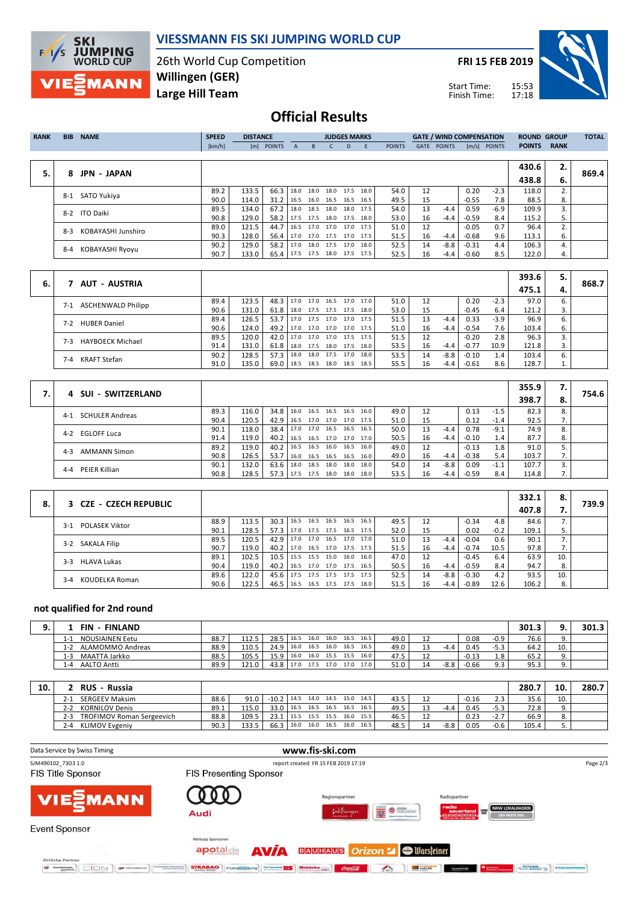

## **VIESSMANN FIS SKI JUMPING WORLD CUP**

26th World Cup Competition **Large Hill Team Willingen (GER)**

**FRI 15 FEB 2019**

Start Time: Finish Time:



## **Official Results**

| <b>RANK</b> | <b>BIB</b> | <b>NAME</b>        | <b>SPEED</b> | <b>DISTANCE</b> |                               |              |                          | <b>JUDGES MARKS</b> |      |      |               |      | <b>GATE / WIND COMPENSATION</b> |         |                | <b>ROUND GROUP</b> |             | <b>TOTAL</b> |
|-------------|------------|--------------------|--------------|-----------------|-------------------------------|--------------|--------------------------|---------------------|------|------|---------------|------|---------------------------------|---------|----------------|--------------------|-------------|--------------|
|             |            |                    | [km/h]       |                 | [m] POINTS                    | $\mathsf{A}$ | B.                       |                     | D.   | F.   | <b>POINTS</b> | GATE | <b>POINTS</b>                   |         | $[m/s]$ POINTS | <b>POINTS</b>      | <b>RANK</b> |              |
|             |            |                    |              |                 |                               |              |                          |                     |      |      |               |      |                                 |         |                |                    |             |              |
|             |            |                    |              |                 |                               |              |                          |                     |      |      |               |      |                                 |         |                | 430.6              | 2.          |              |
| 5.          | 8          | <b>JPN - JAPAN</b> |              |                 |                               |              |                          |                     |      |      |               |      |                                 |         |                | 438.8              | 6.          | 869.4        |
|             | 8-1        | SATO Yukiva        | 89.2         | 133.5           | 66.3                          | 18.0         |                          | 18.0 18.0 17.5 18.0 |      |      | 54.0          | 12   |                                 | 0.20    | $-2.3$         | 118.0              | 2.          |              |
|             |            |                    | 90.0         | 114.0           | 31.2                          | 16.5         | 16.0 16.5                |                     | 16.5 | 16.5 | 49.5          | 15   |                                 | $-0.55$ | 7.8            | 88.5               | 8.          |              |
|             | 8-2        | <b>ITO Daiki</b>   | 89.5         | 134.0           | 67.2                          | 18.0         |                          | 18.5 18.0 18.0 17.5 |      |      | 54.0          | 13   | $-4.4$                          | 0.59    | $-6.9$         | 109.9              | 3.          |              |
|             |            |                    | 90.8         | 129.0           | 58.2                          |              | 17.5 17.5 18.0           |                     | 17.5 | 18.0 | 53.0          | 16   | $-4.4$                          | $-0.59$ | 8.4            | 115.2              | 5.          |              |
|             | $8-3$      | KOBAYASHI Junshiro | 89.0         | 121.5           | 44.7                          |              | 16.5 17.0 17.0 17.0 17.5 |                     |      |      | 51.0          | 12   |                                 | $-0.05$ | 0.7            | 96.4               | 2.          |              |
|             |            |                    | 90.3         | 128.0           | 56.4                          |              | 17.0 17.0 17.5 17.0 17.5 |                     |      |      | 51.5          | 16   | $-4.4$                          | $-0.68$ | 9.6            | 113.1              | 6.          |              |
|             |            |                    | 90.2         | 129.0           | 58.2                          |              | 17.0 18.0 17.5 17.0 18.0 |                     |      |      | 52.5          | 14   | $-8.8$                          | $-0.31$ | 4.4            | 106.3              | 4.          |              |
|             | 8-4        | KOBAYASHI Ryoyu    | 90.7         | 133.0           | 65.4 17.5 17.5 18.0 17.5 17.5 |              |                          |                     |      |      | 52.5          | 16   | $-4.4$                          | $-0.60$ | 8.5            | 122.0              | 4.          |              |

|    |                                  |      |       |               |              |      |                     |      |    |        |         |        | 393.6 | 5. |       |
|----|----------------------------------|------|-------|---------------|--------------|------|---------------------|------|----|--------|---------|--------|-------|----|-------|
| 6. | AUT - AUSTRIA                    |      |       |               |              |      |                     |      |    |        |         |        | 475.1 | 4. | 868.7 |
|    | <b>ASCHENWALD Philipp</b><br>7-1 | 89.4 | 123.5 | 48.3 17.0     |              | 17.0 | 16.5 17.0 17.0      | 51.0 | 12 |        | 0.20    | $-2.3$ | 97.0  | ь. |       |
|    |                                  | 90.6 | 131.0 | $61.8$   18.0 |              |      | 17.5 17.5 17.5 18.0 | 53.0 | 15 |        | $-0.45$ | 6.4    | 121.2 |    |       |
|    | <b>HUBER Daniel</b><br>7-2       | 89.4 | 126.5 | 53.7          | $\vert$ 17.0 | 17.5 | 17.0 17.0 17.5      | 51.5 | 13 | $-4.4$ | 0.33    | $-3.9$ | 96.9  | ь. |       |
|    |                                  | 90.6 | 124.0 | 49.2 17.0     |              |      | 17.0 17.0 17.0 17.5 | 51.0 | 16 | $-4.4$ | $-0.54$ | 7.6    | 103.4 | 6. |       |
|    | <b>HAYBOECK Michael</b><br>7-3   | 89.5 | 120.0 | $42.0$ 17.0   |              |      | 17.0 17.0 17.5 17.5 | 51.5 |    |        | $-0.20$ | 2.8    | 96.3  |    |       |
|    |                                  | 91.4 | 131.0 | $61.8$   18.0 |              | 17.5 | 18.0 17.5 18.0      | 53.5 | 16 | $-4.4$ | $-0.77$ | 10.9   | 121.8 |    |       |
|    | <b>KRAFT Stefan</b><br>$7 - 4$   | 90.2 | 128.5 | $57.3$ 18.0   |              |      | 18.0 17.5 17.0 18.0 | 53.5 | 14 | -8.8   | $-0.10$ | 1.4    | 103.4 | 6. |       |
|    |                                  | 91.0 | 135.0 | $69.0$   18.5 |              | 18.5 | 18.0 18.5 18.5      | 55.5 | 16 | $-4.4$ | $-0.61$ | 8.6    | 128.7 |    |       |

| 4 SUI - SWITZERLAND               |      |       |               |      |                |                     |      |      |    |        |         |        | 355.9 | 7. |       |
|-----------------------------------|------|-------|---------------|------|----------------|---------------------|------|------|----|--------|---------|--------|-------|----|-------|
|                                   |      |       |               |      |                |                     |      |      |    |        |         |        | 398.7 | 8. | 754.6 |
| <b>SCHULER Andreas</b><br>$4 - 1$ | 89.3 | 116.0 | $34.8$ 16.0   | 16.5 | 16.5           | 16.5                | 16.0 | 49.0 | 12 |        | 0.13    | $-1.5$ | 82.3  | 8. |       |
|                                   | 90.4 | 120.5 | $42.9$ 16.5   |      |                | 17.0 17.0 17.0 17.5 |      | 51.0 | 15 |        | 0.12    | $-1.4$ | 92.5  | 7. |       |
| 4-2 EGLOFF Luca                   | 90.1 | 118.0 | $38.4$ 17.0   |      |                | 17.0 16.5 16.5 16.5 |      | 50.0 | 13 | $-4.4$ | 0.78    | $-9.1$ | 74.9  | 8. |       |
|                                   | 91.4 | 119.0 | $40.2$   16.5 |      |                | 16.5 17.0 17.0 17.0 |      | 50.5 | 16 | $-4.4$ | $-0.10$ | 1.4    | 87.7  | 8. |       |
| <b>AMMANN Simon</b><br>$4 - 3$    | 89.2 | 119.0 | $40.2$   16.5 |      |                | 16.5 16.0 16.5 16.0 |      | 49.0 | 12 |        | $-0.13$ | 1.8    | 91.0  |    |       |
|                                   | 90.8 | 126.5 | 53.7   16.0   |      | 16.5 16.5 16.5 |                     | 16.0 | 49.0 | 16 | $-4.4$ | $-0.38$ | 5.4    | 103.7 | 7. |       |
| PEIER Killian                     | 90.1 | 132.0 | $63.6$   18.0 | 18.5 | 18.0           | 18.0                | 18.0 | 54.0 | 14 | $-8.8$ | 0.09    | $-1.1$ | 107.7 |    |       |
| 4-4                               | 90.8 | 128.5 | $57.3$ 17.5   | 17.5 | 18.0           | 18.0                | 18.0 | 53.5 | 16 | $-4.4$ | $-0.59$ | 8.4    | 114.8 | 7. |       |

|    | 3 CZE - CZECH REPUBLIC         |      |       |                                 |      |                     |      |      |    |        |         |        | 332.1 | 8.  | 739.9 |
|----|--------------------------------|------|-------|---------------------------------|------|---------------------|------|------|----|--------|---------|--------|-------|-----|-------|
| 8. |                                |      |       |                                 |      |                     |      |      |    |        |         |        | 407.8 |     |       |
|    | <b>POLASEK Viktor</b><br>$3-1$ | 88.9 | 113.5 | $30.3$   16.5                   | 16.5 | 16.5 16.5           | 16.5 | 49.5 | 12 |        | $-0.34$ | 4.8    | 84.6  |     |       |
|    |                                | 90.1 | 128.5 | $57.3$ 17.0                     |      | 17.5 17.5 16.5 17.5 |      | 52.0 | 15 |        | 0.02    | $-0.2$ | 109.1 |     |       |
|    | 3-2 SAKALA Filip               | 89.5 | 120.5 | 42.9 17.0                       |      | 17.0 16.5 17.0 17.0 |      | 51.0 | 13 | $-4.4$ | $-0.04$ | 0.6    | 90.1  |     |       |
|    |                                | 90.7 | 119.0 | 40.2 17.0                       |      | 16.5 17.0 17.5 17.5 |      | 51.5 | 16 | -4.4   | $-0.74$ | 10.5   | 97.8  |     |       |
|    | <b>HLAVA Lukas</b><br>$3-3$    | 89.1 | 102.5 | 10.5   15.5 15.5 15.0 16.0 16.0 |      |                     |      | 47.0 | 12 |        | $-0.45$ | 6.4    | 63.9  | 10. |       |
|    |                                | 90.4 | 119.0 | 40.2   16.5 17.0 17.0 17.5 16.5 |      |                     |      | 50.5 | 16 | -4.4   | $-0.59$ | 8.4    | 94.7  | 8.  |       |
|    | KOUDELKA Roman<br>$3 - 4$      | 89.6 | 122.0 | $45.6$   17.5                   |      | 17.5 17.5 17.5 17.5 |      | 52.5 | 14 | $-8.8$ | $-0.30$ | 4.2    | 93.5  | 10. |       |
|    |                                | 90.6 | 122.5 | $46.5$ 16.5                     |      | 16.5 17.5 17.5      | 18.0 | 51.5 | 16 | $-4.4$ | $-0.89$ | 12.6   | 106.2 | 8.  |       |

#### **not qualified for 2nd round**

| FIN<br>- FINLAND              |      |       |           |      |                |      |      |      |    |        |         |                | 301.3 |     | 301.3 |
|-------------------------------|------|-------|-----------|------|----------------|------|------|------|----|--------|---------|----------------|-------|-----|-------|
| <b>NOUSIAINEN Eetu</b><br>1-1 | 88.7 | 112.5 | 28.5 16.5 |      | 16.0 16.0      | 16.5 | 16.5 | 49.0 | 12 |        | 0.08    | $-0.9$         | 76.6  | 9.  |       |
| ALAMOMMO Andreas<br>1-2       | 88.9 | 110.5 | 24.9      | 16.0 | 16.5 16.0      | 16.5 | 16.5 | 49.0 |    | $-4.4$ | 0.45    | $-5.3$         | 64.2  | 10. |       |
| MAATTA Jarkko<br>$1 - 3$      | 88.5 | 105.5 | 15.9      | 16.0 | 16.0 15.5 15.5 |      | 16.0 | 47.5 |    |        | $-0.13$ | 1.8            | 65.2  |     |       |
| <b>AALTO Antti</b><br>1-4     | 89.9 | 121.0 | 43.8      | 17.0 | 17.5 17.0      | 17.0 | 17.0 | 51.0 |    | $-8.8$ | $-0.66$ | Q <sub>2</sub> | 95.3  | 9.  |       |

| 10. | <b>RUS</b> | - Russia                         |      |       |         |      |           |                     |      |      |      |        |         |        | 280.  | 10  | 280.7 |
|-----|------------|----------------------------------|------|-------|---------|------|-----------|---------------------|------|------|------|--------|---------|--------|-------|-----|-------|
|     | $2 - 1$    | <b>SERGEEV Maksim</b>            | 88.6 | 91.0  | $-10.2$ | 14.5 |           | 14.0 14.5 15.0 14.5 |      |      | 43.5 |        | $-0.16$ |        | 35.6  | 10. |       |
|     | $2 - 2$    | <b>KORNILOV Denis</b>            | 89.1 | 115.0 | 33.0    | 16.5 |           | 16.5 16.5           | 16.5 | 16.5 | 49.5 | -4.4   | 0.45    | $-5.3$ | 72.8  |     |       |
|     | $2 - 3$    | <b>TROFIMOV Roman Sergeevich</b> | 88.8 | 109.5 | 23.1    | 15.5 | 15.5 15.5 |                     | 16.0 | 15.5 | 46.5 |        | 0.23    | $-2.7$ | 66.9  |     |       |
|     | $2 - 4$    | <b>KLIMOV Evgeniv</b>            | 90.3 | 133.5 | 66.3    | 16.0 | 16.0      | 16.5                | 16.0 | 16.5 | 48.5 | $-8.8$ | 0.05    | $-0.6$ | 105.4 |     |       |